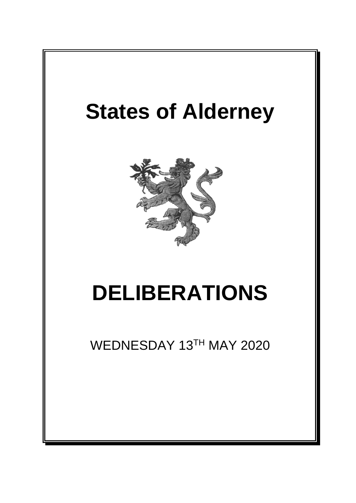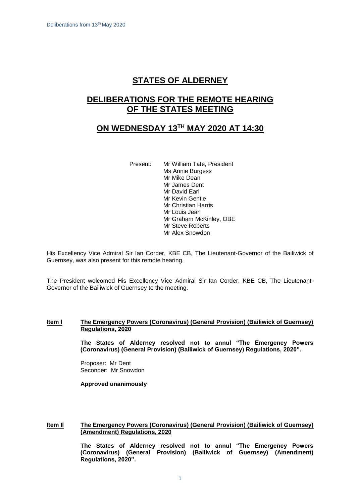# **STATES OF ALDERNEY**

# **DELIBERATIONS FOR THE REMOTE HEARING OF THE STATES MEETING**

### **ON WEDNESDAY 13 TH MAY 2020 AT 14:30**

Present: Mr William Tate, President Ms Annie Burgess Mr Mike Dean Mr James Dent Mr David Earl Mr Kevin Gentle Mr Christian Harris Mr Louis Jean Mr Graham McKinley, OBE Mr Steve Roberts Mr Alex Snowdon

His Excellency Vice Admiral Sir Ian Corder, KBE CB, The Lieutenant-Governor of the Bailiwick of Guernsey, was also present for this remote hearing.

The President welcomed His Excellency Vice Admiral Sir Ian Corder, KBE CB, The Lieutenant-Governor of the Bailiwick of Guernsey to the meeting.

#### **Item I**  The Emergency Powers (Coronavirus) (General Provision) (Bailiwick of Guernsey) **Regulations, 2020**

**The States of Alderney resolved not to annul "The Emergency Powers (Coronavirus) (General Provision) (Bailiwick of Guernsey) Regulations, 2020".**

Proposer: Mr Dent Seconder: Mr Snowdon

**Approved unanimously**

#### **Item Il The Emergency Powers (Coronavirus) (General Provision) (Bailiwick of Guernsey) (Amendment) Regulations, 2020**

**The States of Alderney resolved not to annul "The Emergency Powers (Coronavirus) (General Provision) (Bailiwick of Guernsey) (Amendment) Regulations, 2020".**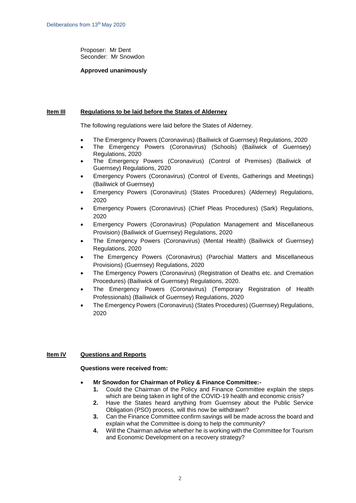Proposer: Mr Dent Seconder: Mr Snowdon

#### **Approved unanimously**

#### **Item III Regulations to be laid before the States of Alderney**

The following regulations were laid before the States of Alderney.

- The Emergency Powers (Coronavirus) (Bailiwick of Guernsey) Regulations, 2020
- The Emergency Powers (Coronavirus) (Schools) (Bailiwick of Guernsey) Regulations, 2020
- The Emergency Powers (Coronavirus) (Control of Premises) (Bailiwick of Guernsey) Regulations, 2020
- Emergency Powers (Coronavirus) (Control of Events, Gatherings and Meetings) (Bailiwick of Guernsey)
- Emergency Powers (Coronavirus) (States Procedures) (Alderney) Regulations, 2020
- Emergency Powers (Coronavirus) (Chief Pleas Procedures) (Sark) Regulations, 2020
- Emergency Powers (Coronavirus) (Population Management and Miscellaneous Provision) (Bailiwick of Guernsey) Regulations, 2020
- The Emergency Powers (Coronavirus) (Mental Health) (Bailiwick of Guernsey) Regulations, 2020
- The Emergency Powers (Coronavirus) (Parochial Matters and Miscellaneous Provisions) (Guernsey) Regulations, 2020
- The Emergency Powers (Coronavirus) (Registration of Deaths etc. and Cremation Procedures) (Bailiwick of Guernsey) Regulations, 2020.
- The Emergency Powers (Coronavirus) (Temporary Registration of Health Professionals) (Bailiwick of Guernsey) Regulations, 2020
- The Emergency Powers (Coronavirus) (States Procedures) (Guernsey) Regulations, 2020

### **Item IV Questions and Reports**

### **Questions were received from:**

- **Mr Snowdon for Chairman of Policy & Finance Committee:-**
	- **1.** Could the Chairman of the Policy and Finance Committee explain the steps which are being taken in light of the COVID-19 health and economic crisis?
	- **2.** Have the States heard anything from Guernsey about the Public Service Obligation (PSO) process, will this now be withdrawn?
	- **3.** Can the Finance Committee confirm savings will be made across the board and explain what the Committee is doing to help the community?
	- **4.** Will the Chairman advise whether he is working with the Committee for Tourism and Economic Development on a recovery strategy?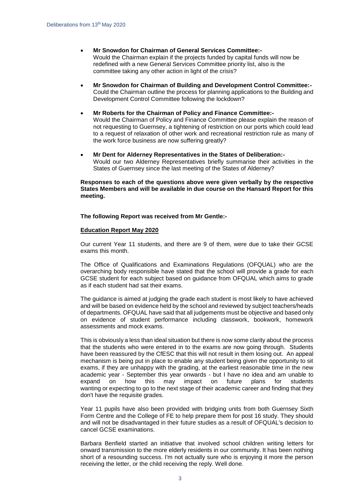- **Mr Snowdon for Chairman of General Services Committee:-** Would the Chairman explain if the projects funded by capital funds will now be redefined with a new General Services Committee priority list, also is the committee taking any other action in light of the crisis?
- **Mr Snowdon for Chairman of Building and Development Control Committee:-** Could the Chairman outline the process for planning applications to the Building and Development Control Committee following the lockdown?
- **Mr Roberts for the Chairman of Policy and Finance Committee:-** Would the Chairman of Policy and Finance Committee please explain the reason of not requesting to Guernsey, a tightening of restriction on our ports which could lead to a request of relaxation of other work and recreational restriction rule as many of the work force business are now suffering greatly?
- **Mr Dent for Alderney Representatives in the States of Deliberation:-** Would our two Alderney Representatives briefly summarise their activities in the States of Guernsey since the last meeting of the States of Alderney?

**Responses to each of the questions above were given verbally by the respective States Members and will be available in due course on the Hansard Report for this meeting.**

**The following Report was received from Mr Gentle:-**

#### **Education Report May 2020**

Our current Year 11 students, and there are 9 of them, were due to take their GCSE exams this month.

The Office of Qualifications and Examinations Regulations (OFQUAL) who are the overarching body responsible have stated that the school will provide a grade for each GCSE student for each subject based on guidance from OFQUAL which aims to grade as if each student had sat their exams.

The guidance is aimed at judging the grade each student is most likely to have achieved and will be based on evidence held by the school and reviewed by subject teachers/heads of departments. OFQUAL have said that all judgements must be objective and based only on evidence of student performance including classwork, bookwork, homework assessments and mock exams.

This is obviously a less than ideal situation but there is now some clarity about the process that the students who were entered in to the exams are now going through. Students have been reassured by the CfESC that this will not result in them losing out. An appeal mechanism is being put in place to enable any student being given the opportunity to sit exams, if they are unhappy with the grading, at the earliest reasonable time in the new academic year - September this year onwards - but I have no idea and am unable to expand on how this may impact on future plans for students wanting or expecting to go to the next stage of their academic career and finding that they don't have the requisite grades.

Year 11 pupils have also been provided with bridging units from both Guernsey Sixth Form Centre and the College of FE to help prepare them for post 16 study. They should and will not be disadvantaged in their future studies as a result of OFQUAL's decision to cancel GCSE examinations.

Barbara Benfield started an initiative that involved school children writing letters for onward transmission to the more elderly residents in our community. It has been nothing short of a resounding success. I'm not actually sure who is enjoying it more the person receiving the letter, or the child receiving the reply. Well done.